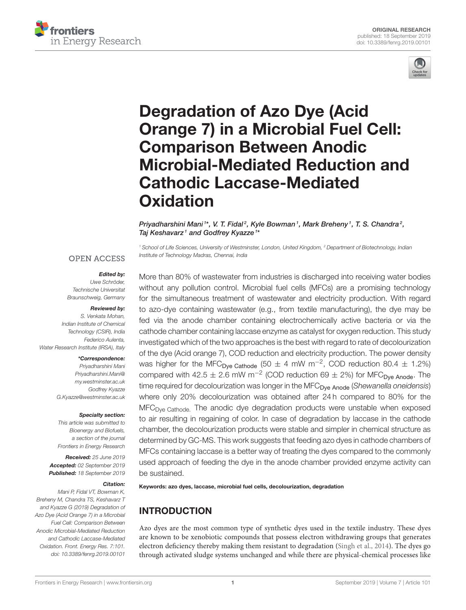



# Degradation of Azo Dye (Acid Orange 7) in a Microbial Fuel Cell: Comparison Between Anodic [Microbial-Mediated Reduction and](https://www.frontiersin.org/articles/10.3389/fenrg.2019.00101/full) Cathodic Laccase-Mediated **Oxidation**

[Priyadharshini Mani](http://loop.frontiersin.org/people/761390/overview) 1\*, V. T. Fidal<sup>2</sup>, [Kyle Bowman](http://loop.frontiersin.org/people/701846/overview)<sup>1</sup>, Mark Breheny<sup>1</sup>, T. S. Chandra<sup>2</sup>, [Taj Keshavarz](http://loop.frontiersin.org/people/539374/overview)<sup>1</sup> and [Godfrey Kyazze](http://loop.frontiersin.org/people/550474/overview)<sup>1\*</sup>

<sup>1</sup> School of Life Sciences, University of Westminster, London, United Kingdom, <sup>2</sup> Department of Biotechnology, Indian Institute of Technology Madras, Chennai, India

#### **OPEN ACCESS**

#### *Edited by:*

Uwe Schröder, Technische Universitat Braunschweig, Germany

#### *Reviewed by:*

S. Venkata Mohan, Indian Institute of Chemical Technology (CSIR), India Federico Aulenta, Water Research Institute (IRSA), Italy

#### *\*Correspondence:*

Priyadharshini Mani [Priyadharshini.Mani@](mailto:Priyadharshini.Mani@my.westminster.ac.uk) [my.westminster.ac.uk](mailto:Priyadharshini.Mani@my.westminster.ac.uk) Godfrey Kyazze [G.Kyazze@westminster.ac.uk](mailto:G.Kyazze@westminster.ac.uk)

#### *Specialty section:*

This article was submitted to Bioenergy and Biofuels, a section of the journal Frontiers in Energy Research

*Received:* 25 June 2019 *Accepted:* 02 September 2019 *Published:* 18 September 2019

#### *Citation:*

Mani P, Fidal VT, Bowman K, Breheny M, Chandra TS, Keshavarz T and Kyazze G (2019) Degradation of Azo Dye (Acid Orange 7) in a Microbial Fuel Cell: Comparison Between Anodic Microbial-Mediated Reduction and Cathodic Laccase-Mediated Oxidation. Front. Energy Res. 7:101. doi: [10.3389/fenrg.2019.00101](https://doi.org/10.3389/fenrg.2019.00101)

More than 80% of wastewater from industries is discharged into receiving water bodies without any pollution control. Microbial fuel cells (MFCs) are a promising technology for the simultaneous treatment of wastewater and electricity production. With regard to azo-dye containing wastewater (e.g., from textile manufacturing), the dye may be fed via the anode chamber containing electrochemically active bacteria or via the cathode chamber containing laccase enzyme as catalyst for oxygen reduction. This study investigated which of the two approaches is the best with regard to rate of decolourization of the dye (Acid orange 7), COD reduction and electricity production. The power density was higher for the MFC<sub>Dye Cathode</sub> (50  $\pm$  4 mW m<sup>-2</sup>, COD reduction 80.4  $\pm$  1.2%) compared with 42.5  $\pm$  2.6 mW m<sup>-2</sup> (COD reduction 69  $\pm$  2%) for MFC<sub>Dye Anode</sub>. The time required for decolourization was longer in the MFC<sub>Dve Anode</sub> (Shewanella oneidensis) where only 20% decolourization was obtained after 24 h compared to 80% for the MFC<sub>Dye Cathode.</sub> The anodic dye degradation products were unstable when exposed to air resulting in regaining of color. In case of degradation by laccase in the cathode chamber, the decolourization products were stable and simpler in chemical structure as determined by GC-MS. This work suggests that feeding azo dyes in cathode chambers of MFCs containing laccase is a better way of treating the dyes compared to the commonly used approach of feeding the dye in the anode chamber provided enzyme activity can be sustained.

Keywords: azo dyes, laccase, microbial fuel cells, decolourization, degradation

# INTRODUCTION

Azo dyes are the most common type of synthetic dyes used in the textile industry. These dyes are known to be xenobiotic compounds that possess electron withdrawing groups that generates electron deficiency thereby making them resistant to degradation [\(Singh et al., 2014\)](#page-10-0). The dyes go through activated sludge systems unchanged and while there are physical-chemical processes like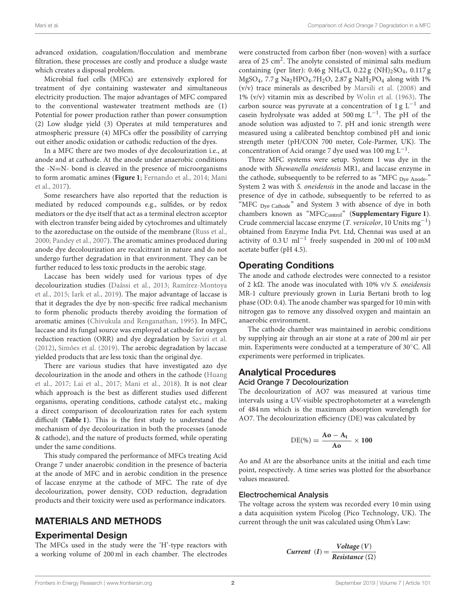advanced oxidation, coagulation/flocculation and membrane filtration, these processes are costly and produce a sludge waste which creates a disposal problem.

Microbial fuel cells (MFCs) are extensively explored for treatment of dye containing wastewater and simultaneous electricity production. The major advantages of MFC compared to the conventional wastewater treatment methods are (1) Potential for power production rather than power consumption (2) Low sludge yield (3) Operates at mild temperatures and atmospheric pressure (4) MFCs offer the possibility of carrying out either anodic oxidation or cathodic reduction of the dyes.

In a MFC there are two modes of dye decolourization i.e., at anode and at cathode. At the anode under anaerobic conditions the -N=N- bond is cleaved in the presence of microorganisms to form aromatic amines (**[Figure 1](#page-2-0)**; [Fernando et al., 2014;](#page-10-1) Mani et al., [2017\)](#page-10-2).

Some researchers have also reported that the reduction is mediated by reduced compounds e.g., sulfides, or by redox mediators or the dye itself that act as a terminal electron acceptor with electron transfer being aided by cytochromes and ultimately to the azoreductase on the outside of the membrane [\(Russ et al.,](#page-10-3) [2000;](#page-10-3) [Pandey et al., 2007\)](#page-10-4). The aromatic amines produced during anode dye decolourization are recalcitrant in nature and do not undergo further degradation in that environment. They can be further reduced to less toxic products in the aerobic stage.

Laccase has been widely used for various types of dye decolourization studies [\(Daâssi et al., 2013;](#page-10-5) Ramírez-Montoya et al., [2015;](#page-10-6) [Iark et al., 2019\)](#page-10-7). The major advantage of laccase is that it degrades the dye by non-specific free radical mechanism to form phenolic products thereby avoiding the formation of aromatic amines [\(Chivukula and Renganathan, 1995\)](#page-10-8). In MFC, laccase and its fungal source was employed at cathode for oxygen reduction reaction (ORR) and dye degradation by [Savizi et al.](#page-10-9) [\(2012\)](#page-10-9), [Simões et al. \(2019\)](#page-10-10). The aerobic degradation by laccase yielded products that are less toxic than the original dye.

There are various studies that have investigated azo dye decolourization in the anode and others in the cathode (Huang et al., [2017;](#page-10-11) [Lai et al., 2017;](#page-10-12) [Mani et al., 2018\)](#page-10-13). It is not clear which approach is the best as different studies used different organisms, operating conditions, cathode catalyst etc., making a direct comparison of decolourization rates for each system difficult (**[Table 1](#page-2-1)**). This is the first study to understand the mechanism of dye decolourization in both the processes (anode & cathode), and the nature of products formed, while operating under the same conditions.

This study compared the performance of MFCs treating Acid Orange 7 under anaerobic condition in the presence of bacteria at the anode of MFC and in aerobic condition in the presence of laccase enzyme at the cathode of MFC. The rate of dye decolourization, power density, COD reduction, degradation products and their toxicity were used as performance indicators.

## MATERIALS AND METHODS

## Experimental Design

The MFCs used in the study were the 'H'-type reactors with a working volume of 200 ml in each chamber. The electrodes were constructed from carbon fiber (non-woven) with a surface area of 25  $\text{cm}^2$ . The anolyte consisted of minimal salts medium containing (per liter):  $0.46 g NH<sub>4</sub>Cl$ ,  $0.22 g (NH)<sub>2</sub> SO<sub>4</sub>$ ,  $0.117 g$ MgSO<sub>4</sub>, 7.7 g Na<sub>2</sub>HPO<sub>4</sub>.7H<sub>2</sub>O, 2.87 g NaH<sub>2</sub>PO<sub>4</sub> along with 1% (v/v) trace minerals as described by [Marsili et al. \(2008\)](#page-10-14) and 1% (v/v) vitamin mix as described by [Wolin et al. \(1963\)](#page-11-0). The carbon source was pyruvate at a concentration of 1 g L−<sup>1</sup> and casein hydrolysate was added at 500 mg L−<sup>1</sup> . The pH of the anode solution was adjusted to 7. pH and ionic strength were measured using a calibrated benchtop combined pH and ionic strength meter (pH/CON 700 meter, Cole-Parmer, UK). The concentration of Acid orange 7 dye used was 100 mg L−<sup>1</sup> .

Three MFC systems were setup. System 1 was dye in the anode with Shewanella oneidensis MR1, and laccase enzyme in the cathode, subsequently to be referred to as "MFC Dye Anode." System 2 was with S. oneidensis in the anode and laccase in the presence of dye in cathode, subsequently to be referred to as "MFC Dye Cathode" and System 3 with absence of dye in both chambers known as "MFC<sub>Control</sub>" ([Supplementary Figure 1](#page-9-0)). Crude commercial laccase enzyme (T. versicolor, 10 Units mg−<sup>1</sup> ) obtained from Enzyme India Pvt. Ltd, Chennai was used at an activity of 0.3 U ml−<sup>1</sup> freely suspended in 200 ml of 100 mM acetate buffer (pH 4.5).

## Operating Conditions

The anode and cathode electrodes were connected to a resistor of 2 k $\Omega$ . The anode was inoculated with 10% v/v S. oneidensis MR-1 culture previously grown in Luria Bertani broth to log phase (OD: 0.4). The anode chamber was sparged for 10 min with nitrogen gas to remove any dissolved oxygen and maintain an anaerobic environment.

The cathode chamber was maintained in aerobic conditions by supplying air through an air stone at a rate of 200 ml air per min. Experiments were conducted at a temperature of 30◦C. All experiments were performed in triplicates.

## Analytical Procedures Acid Orange 7 Decolourization

The decolourization of AO7 was measured at various time intervals using a UV-visible spectrophotometer at a wavelength of 484 nm which is the maximum absorption wavelength for AO7. The decolourization efficiency (DE) was calculated by

$$
\text{DE}(\%) = \frac{\text{Ao} - \text{A}_t}{\text{Ao}} \times 100
$$

Ao and At are the absorbance units at the initial and each time point, respectively. A time series was plotted for the absorbance values measured.

#### Electrochemical Analysis

The voltage across the system was recorded every 10 min using a data acquisition system Picolog (Pico Technology, UK). The current through the unit was calculated using Ohm's Law:

$$
Current (I) = \frac{Voltage (V)}{Resistance (\Omega)}
$$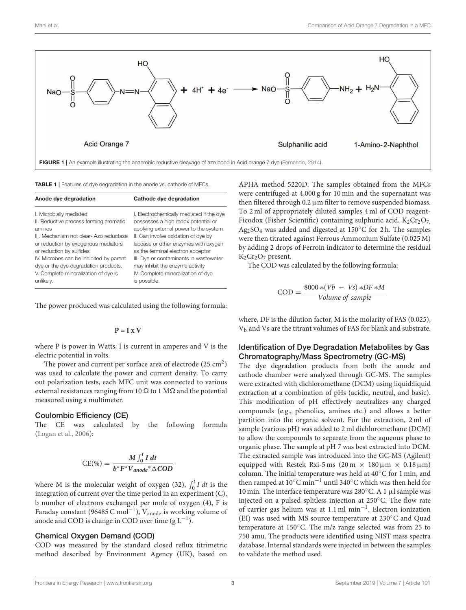

<span id="page-2-1"></span><span id="page-2-0"></span>TABLE 1 | Features of dye degradation in the anode vs. cathode of MFCs.

| Anode dye degradation                   | Cathode dye degradation                  |
|-----------------------------------------|------------------------------------------|
| I. Microbially mediated                 | I. Electrochemically mediated if the dye |
| II. Reductive process forming aromatic  | possesses a high redox potential or      |
| amines                                  | applying external power to the system    |
| III. Mechanism not clear-Azo reductase  | II. Can involve oxidation of dye by      |
| or reduction by exogenous mediators     | laccase or other enzymes with oxygen     |
| or reduction by sulfides                | as the terminal electron acceptor        |
| IV. Microbes can be inhibited by parent | III. Dye or contaminants in wastewater   |
| dye or the dye degradation products.    | may inhibit the enzyme activity          |
| V. Complete mineralization of dye is    | IV. Complete mineralization of dye       |
| unlikely.                               | is possible.                             |

The power produced was calculated using the following formula:

#### $P = I x V$

where P is power in Watts, I is current in amperes and V is the electric potential in volts.

The power and current per surface area of electrode  $(25 \text{ cm}^2)$ was used to calculate the power and current density. To carry out polarization tests, each MFC unit was connected to various external resistances ranging from 10  $\Omega$  to 1 M $\Omega$  and the potential measured using a multimeter.

#### Coulombic Efficiency (CE)

The CE was calculated by the following formula [\(Logan et al., 2006\)](#page-10-16):

$$
CE(\%) = \frac{M \int_0^t I dt}{b^* F^* V_{anode}^* \triangle COD}
$$

where M is the molecular weight of oxygen (32),  $\int_0^t I dt$  is the integration of current over the time period in an experiment (C), b number of electrons exchanged per mole of oxygen (4), F is Faraday constant (96485 C mol<sup>-1</sup>), V<sub>anode</sub> is working volume of anode and COD is change in COD over time  $(g L^{-1})$ .

#### Chemical Oxygen Demand (COD)

COD was measured by the standard closed reflux titrimetric method described by Environment Agency (UK), based on

APHA method 5220D. The samples obtained from the MFCs were centrifuged at 4,000 g for 10 min and the supernatant was then filtered through  $0.2 \mu$ m filter to remove suspended biomass. To 2 ml of appropriately diluted samples 4 ml of COD reagent-Ficodox (Fisher Scientific) containing sulphuric acid,  $K_2Cr_2O_7$ , Ag<sub>2</sub>SO<sub>4</sub> was added and digested at 150 $\degree$ C for 2 h. The samples were then titrated against Ferrous Ammonium Sulfate (0.025 M) by adding 2 drops of Ferroin indicator to determine the residual  $K_2Cr_2O_7$  present.

The COD was calculated by the following formula:

$$
COD = \frac{8000 * (Vb - Vs) * DF * M}{Volume \ of \ sample}
$$

where, DF is the dilution factor, M is the molarity of FAS (0.025), V<sup>b</sup> and Vs are the titrant volumes of FAS for blank and substrate.

#### Identification of Dye Degradation Metabolites by Gas Chromatography/Mass Spectrometry (GC-MS)

The dye degradation products from both the anode and cathode chamber were analyzed through GC-MS. The samples were extracted with dichloromethane (DCM) using liquid:liquid extraction at a combination of pHs (acidic, neutral, and basic). This modification of pH effectively neutralizes any charged compounds (e.g., phenolics, amines etc.) and allows a better partition into the organic solvent. For the extraction, 2 ml of sample (various pH) was added to 2 ml dichloromethane (DCM) to allow the compounds to separate from the aqueous phase to organic phase. The sample at pH 7 was best extracted into DCM. The extracted sample was introduced into the GC-MS (Agilent) equipped with Restek Rxi-5 ms  $(20 \text{ m} \times 180 \text{ }\mu\text{m} \times 0.18 \text{ }\mu\text{m})$ column. The initial temperature was held at 40◦C for 1 min, and then ramped at 10◦C min−<sup>1</sup> until 340◦C which was then held for 10 min. The interface temperature was 280◦C. A 1 µl sample was injected on a pulsed splitless injection at 250◦C. The flow rate of carrier gas helium was at 1.1 ml min−<sup>1</sup> . Electron ionization (EI) was used with MS source temperature at 230◦C and Quad temperature at 150◦C. The m/z range selected was from 25 to 750 amu. The products were identified using NIST mass spectra database. Internal standards were injected in between the samples to validate the method used.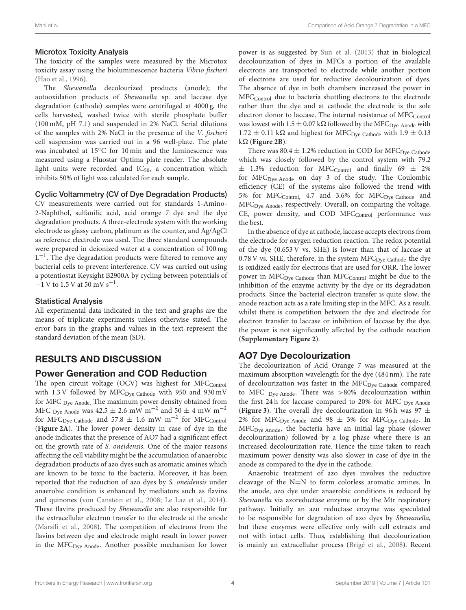#### Microtox Toxicity Analysis

The toxicity of the samples were measured by the Microtox toxicity assay using the bioluminescence bacteria Vibrio fischeri [\(Hao et al., 1996\)](#page-10-17).

The Shewanella decolourized products (anode); the autooxidation products of Shewanella sp. and laccase dye degradation (cathode) samples were centrifuged at 4000 g, the cells harvested, washed twice with sterile phosphate buffer (100 mM, pH 7.1) and suspended in 2% NaCl. Serial dilutions of the samples with 2% NaCl in the presence of the V. fischeri cell suspension was carried out in a 96 well-plate. The plate was incubated at 15◦C for 10 min and the luminescence was measured using a Fluostar Optima plate reader. The absolute light units were recorded and  $IC_{50}$ , a concentration which inhibits 50% of light was calculated for each sample.

#### Cyclic Voltammetry (CV of Dye Degradation Products)

CV measurements were carried out for standards 1-Amino-2-Naphthol, sulfanilic acid, acid orange 7 dye and the dye degradation products. A three-electrode system with the working electrode as glassy carbon, platinum as the counter, and Ag/AgCl as reference electrode was used. The three standard compounds were prepared in deionized water at a concentration of 100 mg L<sup>-1</sup>. The dye degradation products were filtered to remove any bacterial cells to prevent interference. CV was carried out using a potentiostat Keysight B2900A by cycling between potentials of  $-1$  V to 1.5 V at 50 mV s<sup>-1</sup>.

### Statistical Analysis

All experimental data indicated in the text and graphs are the means of triplicate experiments unless otherwise stated. The error bars in the graphs and values in the text represent the standard deviation of the mean (SD).

## RESULTS AND DISCUSSION

## Power Generation and COD Reduction

The open circuit voltage (OCV) was highest for MFCControl with  $1.3$  V followed by MFC<sub>Dye Cathode</sub> with 950 and 930 mV for MFC Dye Anode. The maximum power density obtained from MFC <sub>Dye</sub> Anode was 42.5  $\pm$  2.6 mW m<sup>-2</sup> and 50  $\pm$  4 mW m<sup>-2</sup> for MFC<sub>Dye Cathode</sub> and 57.8  $\pm$  1.6 mW m<sup>-2</sup> for MFC<sub>Control</sub> (**[Figure 2A](#page-4-0)**). The lower power density in case of dye in the anode indicates that the presence of AO7 had a significant effect on the growth rate of S. oneidensis. One of the major reasons affecting the cell viability might be the accumulation of anaerobic degradation products of azo dyes such as aromatic amines which are known to be toxic to the bacteria. Moreover, it has been reported that the reduction of azo dyes by S. oneidensis under anaerobic condition is enhanced by mediators such as flavins and quinones [\(von Canstein et al., 2008;](#page-11-1) [Le Laz et al., 2014\)](#page-10-18). These flavins produced by Shewanella are also responsible for the extracellular electron transfer to the electrode at the anode [\(Marsili et al., 2008\)](#page-10-14). The competition of electrons from the flavins between dye and electrode might result in lower power in the MFC<sub>Dye Anode</sub>. Another possible mechanism for lower power is as suggested by [Sun et al. \(2013\)](#page-10-19) that in biological decolourization of dyes in MFCs a portion of the available electrons are transported to electrode while another portion of electrons are used for reductive decolourization of dyes. The absence of dye in both chambers increased the power in MFC<sub>Control</sub> due to bacteria shuttling electrons to the electrode rather than the dye and at cathode the electrode is the sole electron donor to laccase. The internal resistance of MFC<sub>Control</sub> was lowest with  $1.5 \pm 0.07$  k $\Omega$  followed by the MFC<sub>Dye</sub> Anode with  $1.72 \pm 0.11$  k $\Omega$  and highest for MFC<sub>Dve Cathode</sub> with  $1.9 \pm 0.13$  $k\Omega$  (**[Figure 2B](#page-4-0)**).

There was 80.4  $\pm$  1.2% reduction in COD for MFC<sub>Dye</sub> Cathode which was closely followed by the control system with 79.2  $\pm$  1.3% reduction for MFC<sub>Control</sub> and finally 69  $\pm$  2% for MFC<sub>Dye Anode</sub> on day 3 of the study. The Coulombic efficiency (CE) of the systems also followed the trend with 5% for MFC<sub>Control</sub>, 4.7 and 3.6% for MFC<sub>Dve Cathode</sub> and MFCDye Anode**,** respectively. Overall, on comparing the voltage, CE, power density, and COD MFCControl performance was the best.

In the absence of dye at cathode, laccase accepts electrons from the electrode for oxygen reduction reaction. The redox potential of the dye (0.653 V vs. SHE) is lower than that of laccase at  $0.78$  V vs. SHE, therefore, in the system MFC $_{\text{Dye Cathode}}$  the dye is oxidized easily for electrons that are used for ORR. The lower power in MFC<sub>Dye Cathode</sub> than MFC<sub>Control</sub> might be due to the inhibition of the enzyme activity by the dye or its degradation products. Since the bacterial electron transfer is quite slow, the anode reaction acts as a rate limiting step in the MFC. As a result, whilst there is competition between the dye and electrode for electron transfer to laccase or inhibition of laccase by the dye, the power is not significantly affected by the cathode reaction (**[Supplementary Figure 2](#page-9-1)**).

## AO7 Dye Decolourization

The decolourization of Acid Orange 7 was measured at the maximum absorption wavelength for the dye (484 nm). The rate of decolourization was faster in the  $MFC_{Dve}$   $C_{\alpha}$  compared to MFC Dye Anode. There was >80% decolourization within the first 24 h for laccase compared to 20% for MFC Dye Anode (**[Figure 3](#page-4-1)**). The overall dye decolourization in 96 h was 97  $\pm$ 2% for MFC<sub>Dye Anode</sub> and 98  $\pm$  3% for MFC<sub>Dye Cathode</sub>. In MFCDye Anode, the bacteria have an initial lag phase (slower decolourization) followed by a log phase where there is an increased decolourization rate. Hence the time taken to reach maximum power density was also slower in case of dye in the anode as compared to the dye in the cathode.

Anaerobic treatment of azo dyes involves the reductive cleavage of the N=N to form colorless aromatic amines. In the anode, azo dye under anaerobic conditions is reduced by Shewanella via azoreductase enzyme or by the Mtr respiratory pathway. Initially an azo reductase enzyme was speculated to be responsible for degradation of azo dyes by Shewanella, but these enzymes were effective only with cell extracts and not with intact cells. Thus, establishing that decolourization is mainly an extracellular process [\(Brigé et al., 2008\)](#page-10-20). Recent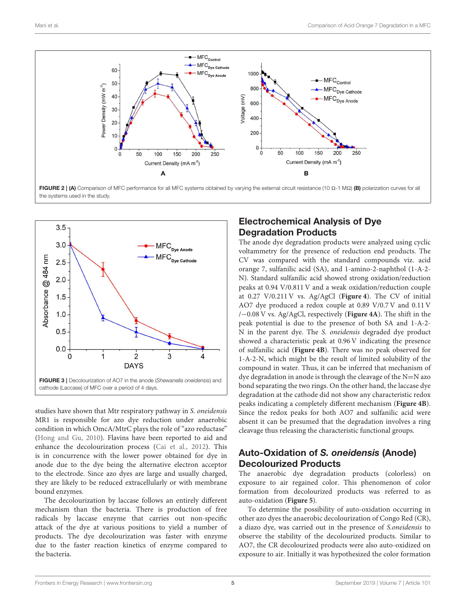

<span id="page-4-0"></span>

<span id="page-4-1"></span>studies have shown that Mtr respiratory pathway in S. oneidensis MR1 is responsible for azo dye reduction under anaerobic condition in which OmcA/MtrC plays the role of "azo reductase" [\(Hong and Gu, 2010\)](#page-10-21). Flavins have been reported to aid and enhance the decolourization process [\(Cai et al., 2012\)](#page-10-22). This is in concurrence with the lower power obtained for dye in anode due to the dye being the alternative electron acceptor to the electrode. Since azo dyes are large and usually charged, they are likely to be reduced extracellularly or with membrane bound enzymes.

The decolourization by laccase follows an entirely different mechanism than the bacteria. There is production of free radicals by laccase enzyme that carries out non-specific attack of the dye at various positions to yield a number of products. The dye decolourization was faster with enzyme due to the faster reaction kinetics of enzyme compared to the bacteria.

# Electrochemical Analysis of Dye Degradation Products

The anode dye degradation products were analyzed using cyclic voltammetry for the presence of reduction end products. The CV was compared with the standard compounds viz. acid orange 7, sulfanilic acid (SA), and 1-amino-2-naphthol (1-A-2- N). Standard sulfanilic acid showed strong oxidation/reduction peaks at 0.94 V/0.811 V and a weak oxidation/reduction couple at 0.27 V/0.211 V vs. Ag/AgCl (**[Figure 4](#page-5-0)**). The CV of initial AO7 dye produced a redox couple at 0.89 V/0.7 V and 0.11 V /−0.08 V vs. Ag/AgCl, respectively (**[Figure 4A](#page-5-0)**). The shift in the peak potential is due to the presence of both SA and 1-A-2- N in the parent dye. The S. oneidensis degraded dye product showed a characteristic peak at 0.96 V indicating the presence of sulfanilic acid (**[Figure 4B](#page-5-0)**). There was no peak observed for 1-A-2-N, which might be the result of limited solubility of the compound in water. Thus, it can be inferred that mechanism of dye degradation in anode is through the cleavage of the N=N azo bond separating the two rings. On the other hand, the laccase dye degradation at the cathode did not show any characteristic redox peaks indicating a completely different mechanism (**[Figure 4B](#page-5-0)**). Since the redox peaks for both AO7 and sulfanilic acid were absent it can be presumed that the degradation involves a ring cleavage thus releasing the characteristic functional groups.

# Auto-Oxidation of *S. oneidensis* (Anode) Decolourized Products

The anaerobic dye degradation products (colorless) on exposure to air regained color. This phenomenon of color formation from decolourized products was referred to as auto-oxidation (**[Figure 5](#page-5-1)**).

To determine the possibility of auto-oxidation occurring in other azo dyes the anaerobic decolourization of Congo Red (CR), a diazo dye, was carried out in the presence of S.oneidensis to observe the stability of the decolourized products. Similar to AO7, the CR decolourized products were also auto-oxidized on exposure to air. Initially it was hypothesized the color formation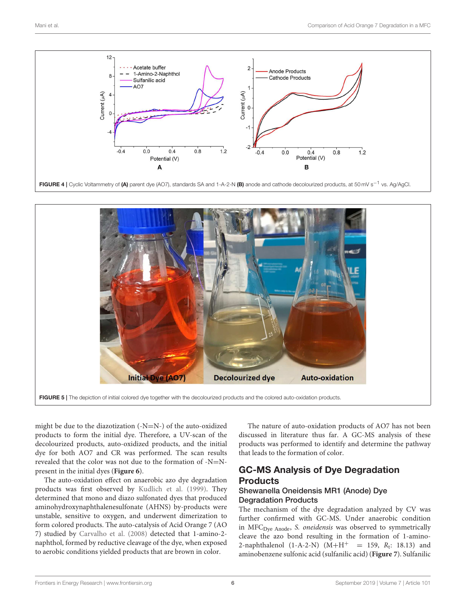

<span id="page-5-0"></span>

<span id="page-5-1"></span>might be due to the diazotization (-N=N-) of the auto-oxidized products to form the initial dye. Therefore, a UV-scan of the decolourized products, auto-oxidized products, and the initial dye for both AO7 and CR was performed. The scan results revealed that the color was not due to the formation of -N=Npresent in the initial dyes (**[Figure 6](#page-6-0)**).

The auto-oxidation effect on anaerobic azo dye degradation products was first observed by [Kudlich et al. \(1999\)](#page-10-23). They determined that mono and diazo sulfonated dyes that produced aminohydroxynaphthalenesulfonate (AHNS) by-products were unstable, sensitive to oxygen, and underwent dimerization to form colored products. The auto-catalysis of Acid Orange 7 (AO 7) studied by [Carvalho et al. \(2008\)](#page-10-24) detected that 1-amino-2 naphthol, formed by reductive cleavage of the dye, when exposed to aerobic conditions yielded products that are brown in color.

The nature of auto-oxidation products of AO7 has not been discussed in literature thus far. A GC-MS analysis of these products was performed to identify and determine the pathway that leads to the formation of color.

# GC-MS Analysis of Dye Degradation **Products**

### Shewanella Oneidensis MR1 (Anode) Dye Degradation Products

The mechanism of the dye degradation analyzed by CV was further confirmed with GC-MS. Under anaerobic condition in MFC<sub>Dye Anode</sub>, S. oneidensis was observed to symmetrically cleave the azo bond resulting in the formation of 1-amino-2-naphthalenol (1-A-2-N)  $(M+H^+$  = 159,  $R_t$ : 18.13) and aminobenzene sulfonic acid (sulfanilic acid) (**[Figure 7](#page-7-0)**). Sulfanilic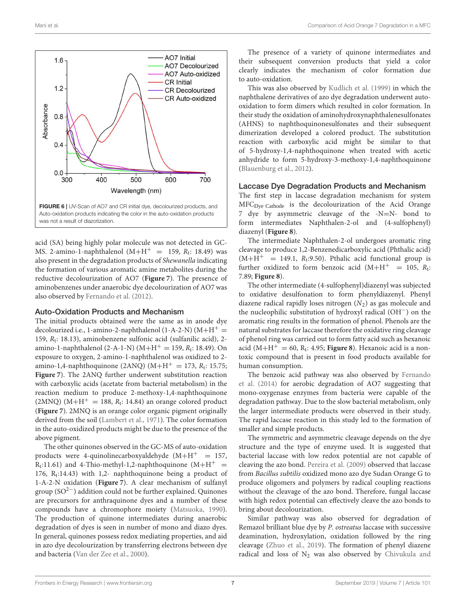

<span id="page-6-0"></span>acid (SA) being highly polar molecule was not detected in GC-MS. 2-amino-1-naphthalenol  $(M+H^{+} = 159, R_t: 18.49)$  was also present in the degradation products of Shewanella indicating the formation of various aromatic amine metabolites during the reductive decolourization of AO7 (**[Figure 7](#page-7-0)**). The presence of aminobenzenes under anaerobic dye decolourization of AO7 was also observed by [Fernando et al. \(2012\)](#page-10-25).

#### Auto-Oxidation Products and Mechanism

The initial products obtained were the same as in anode dye decolourized i.e., 1-amino-2-naphthalenol (1-A-2-N) ( $M+H^+=$ 159,  $R_t$ : 18.13), aminobenzene sulfonic acid (sulfanilic acid), 2amino-1-naphthalenol (2-A-1-N) ( $M + H^+ = 159$ ,  $R_t$ : 18.49). On exposure to oxygen, 2-amino-1-naphthalenol was oxidized to 2 amino-1,4-naphthoquinone (2ANQ)  $(M+H^+ = 173, R_t: 15.75;$ **[Figure 7](#page-7-0)**). The 2ANQ further underwent substitution reaction with carboxylic acids (acetate from bacterial metabolism) in the reaction medium to produce 2-methoxy-1,4-naphthoquinone  $(2MNQ)$   $(M+H^+= 188, R_t: 14.84)$  an orange colored product (**[Figure 7](#page-7-0)**). 2MNQ is an orange color organic pigment originally derived from the soil [\(Lambert et al., 1971\)](#page-10-26). The color formation in the auto-oxidized products might be due to the presence of the above pigment.

The other quinones observed in the GC-MS of auto-oxidation products were 4-quinolinecarboxyaldehyde  $(M+H<sup>+</sup> = 157$ ,  $R_t$ :11.61) and 4-Thio-methyl-1,2-naphthoquinone (M+H<sup>+</sup> = 176,  $R_t$ :14.43) with 1,2- naphthoquinone being a product of 1-A-2-N oxidation (**[Figure 7](#page-7-0)**). A clear mechanism of sulfanyl group ( $SO<sup>2−</sup>$ ) addition could not be further explained. Quinones are precursors for anthraquinone dyes and a number of these compounds have a chromophore moiety [\(Matsuoka, 1990\)](#page-10-27). The production of quinone intermediates during anaerobic degradation of dyes is seen in number of mono and diazo dyes. In general, quinones possess redox mediating properties, and aid in azo dye decolourization by transferring electrons between dye and bacteria [\(Van der Zee et al., 2000\)](#page-10-28).

The presence of a variety of quinone intermediates and their subsequent conversion products that yield a color clearly indicates the mechanism of color formation due to auto-oxidation.

This was also observed by [Kudlich et al. \(1999\)](#page-10-23) in which the naphthalene derivatives of azo dye degradation underwent autooxidation to form dimers which resulted in color formation. In their study the oxidation of aminohydroxynaphthalenesulfonates (AHNS) to naphthoquinonesulfonates and their subsequent dimerization developed a colored product. The substitution reaction with carboxylic acid might be similar to that of 5-hydroxy-1,4-naphthoquinone when treated with acetic anhydride to form 5-hydroxy-3-methoxy-1,4-naphthoquinone [\(Blauenburg et al., 2012\)](#page-10-29).

#### Laccase Dye Degradation Products and Mechanism

The first step in laccase degradation mechanism for system MFCDye Cathode is the decolourization of the Acid Orange 7 dye by asymmetric cleavage of the -N=N- bond to form intermediates Naphthalen-2-ol and (4-sulfophenyl) diazenyl (**[Figure 8](#page-8-0)**).

The intermediate Naphthalen-2-ol undergoes aromatic ring cleavage to produce 1,2-Benzenedicarboxylic acid (Phthalic acid)  $(M+H<sup>+</sup> = 149.1, R<sub>t</sub>:9.50)$ . Pthalic acid functional group is further oxidized to form benzoic acid  $(M+H^+ = 105, R_t$ : 7.89; **[Figure 8](#page-8-0)**).

The other intermediate (4-sulfophenyl)diazenyl was subjected to oxidative desulfonation to form phenyldiazenyl. Phenyl diazene radical rapidly loses nitrogen  $(N_2)$  as gas molecule and the nucleophilic substitution of hydroxyl radical (OH−) on the aromatic ring results in the formation of phenol. Phenols are the natural substrates for laccase therefore the oxidative ring cleavage of phenol ring was carried out to form fatty acid such as hexanoic acid  $(M+H^+ = 60, R_t: 4.95;$  **[Figure 8](#page-8-0)**). Hexanoic acid is a nontoxic compound that is present in food products available for human consumption.

The benzoic acid pathway was also observed by Fernando et al. [\(2014\)](#page-10-1) for aerobic degradation of AO7 suggesting that mono-oxygenase enzymes from bacteria were capable of the degradation pathway. Due to the slow bacterial metabolism, only the larger intermediate products were observed in their study. The rapid laccase reaction in this study led to the formation of smaller and simple products.

The symmetric and asymmetric cleavage depends on the dye structure and the type of enzyme used. It is suggested that bacterial laccase with low redox potential are not capable of cleaving the azo bond. [Pereira et al. \(2009\)](#page-10-30) observed that laccase from Bacillus subtilis oxidized mono azo dye Sudan Orange G to produce oligomers and polymers by radical coupling reactions without the cleavage of the azo bond. Therefore, fungal laccase with high redox potential can effectively cleave the azo bonds to bring about decolourization.

Similar pathway was also observed for degradation of Remazol brilliant blue dye by P. ostreatus laccase with successive deamination, hydroxylation, oxidation followed by the ring cleavage [\(Zhuo et al., 2019\)](#page-11-2). The formation of phenyl diazene radical and loss of  $N_2$  was also observed by Chivukula and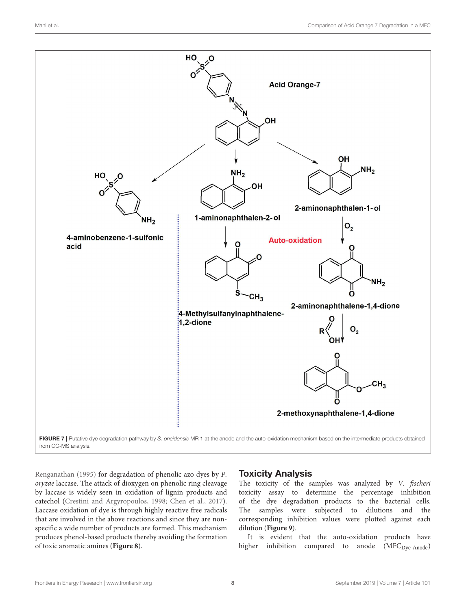

<span id="page-7-0"></span>Renganathan [\(1995\)](#page-10-8) for degradation of phenolic azo dyes by P. oryzae laccase. The attack of dioxygen on phenolic ring cleavage by laccase is widely seen in oxidation of lignin products and catechol [\(Crestini and Argyropoulos, 1998;](#page-10-31) [Chen et al., 2017\)](#page-10-32). Laccase oxidation of dye is through highly reactive free radicals that are involved in the above reactions and since they are nonspecific a wide number of products are formed. This mechanism produces phenol-based products thereby avoiding the formation of toxic aromatic amines (**[Figure 8](#page-8-0)**).

## Toxicity Analysis

The toxicity of the samples was analyzed by V. fischeri toxicity assay to determine the percentage inhibition of the dye degradation products to the bacterial cells. The samples were subjected to dilutions and the corresponding inhibition values were plotted against each dilution (**[Figure 9](#page-9-2)**).

It is evident that the auto-oxidation products have higher inhibition compared to anode (MFC<sub>Dve Anode</sub>)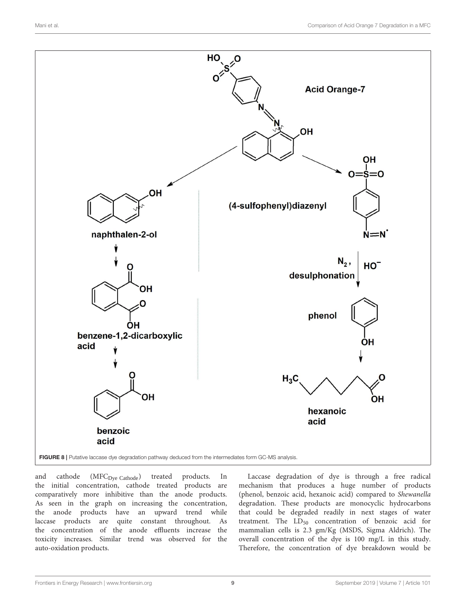

<span id="page-8-0"></span>and cathode (MFC<sub>Dye Cathode</sub>) treated products. In the initial concentration, cathode treated products are comparatively more inhibitive than the anode products. As seen in the graph on increasing the concentration, the anode products have an upward trend while laccase products are quite constant throughout. As the concentration of the anode effluents increase the toxicity increases. Similar trend was observed for the auto-oxidation products.

Laccase degradation of dye is through a free radical mechanism that produces a huge number of products (phenol, benzoic acid, hexanoic acid) compared to Shewanella degradation. These products are monocyclic hydrocarbons that could be degraded readily in next stages of water treatment. The  $LD_{50}$  concentration of benzoic acid for mammalian cells is 2.3 gm/Kg (MSDS, Sigma Aldrich). The overall concentration of the dye is 100 mg/L in this study. Therefore, the concentration of dye breakdown would be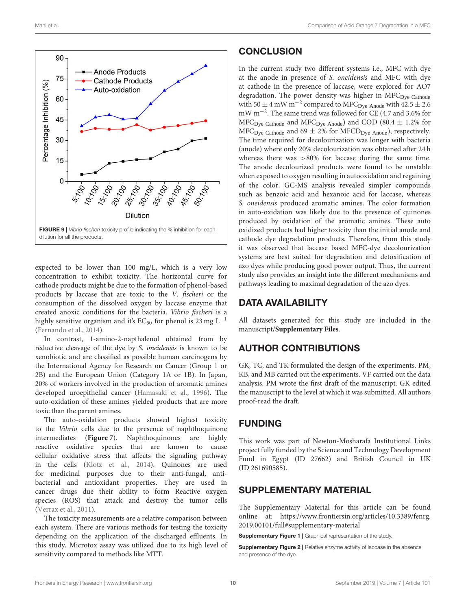

<span id="page-9-2"></span>expected to be lower than 100 mg/L, which is a very low concentration to exhibit toxicity. The horizontal curve for cathode products might be due to the formation of phenol-based products by laccase that are toxic to the V. fischeri or the consumption of the dissolved oxygen by laccase enzyme that created anoxic conditions for the bacteria. Vibrio fischeri is a highly sensitive organism and it's EC<sub>50</sub> for phenol is 23 mg L<sup>-1</sup> [\(Fernando et al., 2014\)](#page-10-1).

In contrast, 1-amino-2-napthalenol obtained from by reductive cleavage of the dye by S. oneidensis is known to be xenobiotic and are classified as possible human carcinogens by the International Agency for Research on Cancer (Group 1 or 2B) and the European Union (Category 1A or 1B). In Japan, 20% of workers involved in the production of aromatic amines developed uroepithelial cancer [\(Hamasaki et al., 1996\)](#page-10-33). The auto-oxidation of these amines yielded products that are more toxic than the parent amines.

The auto-oxidation products showed highest toxicity to the Vibrio cells due to the presence of naphthoquinone intermediates (**[Figure 7](#page-7-0)**). Naphthoquinones are highly reactive oxidative species that are known to cause cellular oxidative stress that affects the signaling pathway in the cells [\(Klotz et al., 2014\)](#page-10-34). Quinones are used for medicinal purposes due to their anti-fungal, antibacterial and antioxidant properties. They are used in cancer drugs due their ability to form Reactive oxygen species (ROS) that attack and destroy the tumor cells [\(Verrax et al., 2011\)](#page-10-35).

The toxicity measurements are a relative comparison between each system. There are various methods for testing the toxicity depending on the application of the discharged effluents. In this study, Microtox assay was utilized due to its high level of sensitivity compared to methods like MTT.

## **CONCLUSION**

In the current study two different systems i.e., MFC with dye at the anode in presence of S. oneidensis and MFC with dye at cathode in the presence of laccase, were explored for AO7 degradation. The power density was higher in MFC<sub>Dye Cathode</sub> with 50  $\pm$  4 mW m<sup>-2</sup> compared to MFC<sub>Dye</sub> Anode with 42.5  $\pm$  2.6 mW m−<sup>2</sup> . The same trend was followed for CE (4.7 and 3.6% for  $MFC_{Dye}$  Cathode and  $MFC_{Dye}$  Anode) and COD (80.4  $\pm$  1.2% for  $MFC_{\text{Dye Catholic}}$  and 69  $\pm$  2% for MFCD<sub>Dye Anode</sub>), respectively. The time required for decolourization was longer with bacteria (anode) where only 20% decolourization was obtained after 24 h whereas there was >80% for laccase during the same time. The anode decolourized products were found to be unstable when exposed to oxygen resulting in autooxidation and regaining of the color. GC-MS analysis revealed simpler compounds such as benzoic acid and hexanoic acid for laccase, whereas S. oneidensis produced aromatic amines. The color formation in auto-oxidation was likely due to the presence of quinones produced by oxidation of the aromatic amines. These auto oxidized products had higher toxicity than the initial anode and cathode dye degradation products. Therefore, from this study it was observed that laccase based MFC-dye decolourization systems are best suited for degradation and detoxification of azo dyes while producing good power output. Thus, the current study also provides an insight into the different mechanisms and pathways leading to maximal degradation of the azo dyes.

## DATA AVAILABILITY

All datasets generated for this study are included in the manuscript/**[Supplementary Files](#page-9-3)**.

# AUTHOR CONTRIBUTIONS

GK, TC, and TK formulated the design of the experiments. PM, KB, and MB carried out the experiments. VF carried out the data analysis. PM wrote the first draft of the manuscript. GK edited the manuscript to the level at which it was submitted. All authors proof-read the draft.

## FUNDING

This work was part of Newton-Mosharafa Institutional Links project fully funded by the Science and Technology Development Fund in Egypt (ID 27662) and British Council in UK (ID 261690585).

## SUPPLEMENTARY MATERIAL

<span id="page-9-3"></span>The Supplementary Material for this article can be found [online at: https://www.frontiersin.org/articles/10.3389/fenrg.](https://www.frontiersin.org/articles/10.3389/fenrg.2019.00101/full#supplementary-material) 2019.00101/full#supplementary-material

<span id="page-9-0"></span>Supplementary Figure 1 | Graphical representation of the study.

<span id="page-9-1"></span>Supplementary Figure 2 | Relative enzyme activity of laccase in the absence and presence of the dye.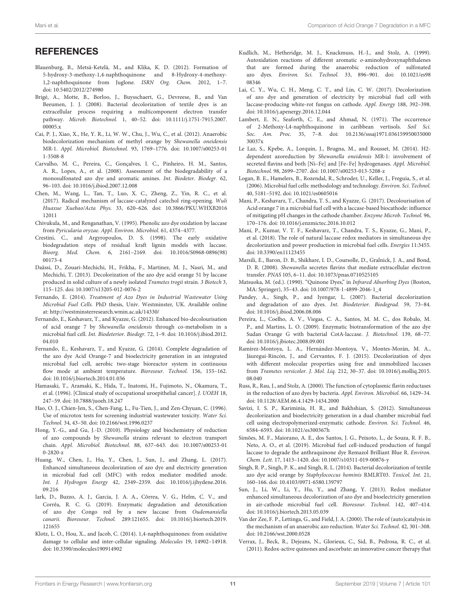## **REFERENCES**

- <span id="page-10-29"></span>Blauenburg, B., Metsä-Ketelä, M., and Klika, K. D. (2012). Formation of 5-hydroxy-3-methoxy-1,4-naphthoquinone and 8-Hydroxy-4-methoxy-1,2-naphthoquinone from Juglone. ISRN Org. Chem. 2012, 1–7. doi: [10.5402/2012/274980](https://doi.org/10.5402/2012/274980)
- <span id="page-10-20"></span>Brigé, A., Motte, B., Borloo, J., Buysschaert, G., Devreese, B., and Van Beeumen, J. J. (2008). Bacterial decolorization of textile dyes is an extracellular process requiring a multicomponent electron transfer pathway. Microb. Biotechnol. [1, 40–52. doi: 10.1111/j.1751-7915.2007.](https://doi.org/10.1111/j.1751-7915.2007.00005.x) 00005.x
- <span id="page-10-22"></span>Cai, P. J., Xiao, X., He, Y. R., Li, W. W., Chu, J., Wu, C., et al. (2012). Anaerobic biodecolorization mechanism of methyl orange by Shewanella oneidensis MR-1. Appl. Microbiol. Biotechnol. [93, 1769–1776. doi: 10.1007/s00253-01](https://doi.org/10.1007/s00253-011-3508-8) 1-3508-8
- <span id="page-10-24"></span>Carvalho, M. C., Pereira, C., Gonçalves, I. C., Pinheiro, H. M., Santos, A. R., Lopes, A., et al. (2008). Assessment of the biodegradability of a monosulfonated azo dye and aromatic amines. Int. Biodeter. Biodegr. 62, 96–103. doi: [10.1016/j.ibiod.2007.12.008](https://doi.org/10.1016/j.ibiod.2007.12.008)
- <span id="page-10-32"></span>Chen, M., Wang, L., Tan, T., Luo, X. C., Zheng, Z., Yin, R. C., et al. (2017). Radical mechanism of laccase-catalyzed catechol ring-opening. Wuli Huaxue Xuebao/Acta Phys. [33, 620–626. doi: 10.3866/PKU.WHXB2016](https://doi.org/10.3866/PKU.WHXB201612011) 12011
- <span id="page-10-8"></span>Chivukula, M., and Renganathan, V. (1995). Phenolic azo dye oxidation by laccase from Pyricularia oryzae. Appl. Environ. Microbiol. 61, 4374–4377.
- <span id="page-10-31"></span>Crestini, C., and Argyropoulos, D. S. (1998). The early oxidative biodegradation steps of residual kraft lignin models with laccase. Bioorg. Med. Chem. [6, 2161–2169. doi: 10.1016/S0968-0896\(98\)](https://doi.org/10.1016/S0968-0896(98)00173-4) 00173-4
- <span id="page-10-5"></span>Daâssi, D., Zouari-Mechichi, H., Frikha, F., Martinez, M. J., Nasri, M., and Mechichi, T. (2013). Decolorization of the azo dye acid orange 51 by laccase produced in solid culture of a newly isolated Trametes trogii strain. 3 Biotech 3, 115–125. doi: [10.1007/s13205-012-0076-2](https://doi.org/10.1007/s13205-012-0076-2)
- <span id="page-10-15"></span>Fernando, E. (2014). Treatment of Azo Dyes in Industrial Wastewater Using Microbial Fuel Cells. PhD thesis, Univ. Westminster, UK. Available online at:<http://westminsterresearch.wmin.ac.uk/14330/>
- <span id="page-10-25"></span>Fernando, E., Keshavarz, T., and Kyazze, G. (2012). Enhanced bio-decolourisation of acid orange 7 by Shewanella oneidensis through co-metabolism in a microbial fuel cell. Int. Biodeterior. Biodegr. [72, 1–9. doi: 10.1016/j.ibiod.2012.](https://doi.org/10.1016/j.ibiod.2012.04.010) 04.010
- <span id="page-10-1"></span>Fernando, E., Keshavarz, T., and Kyazze, G. (2014). Complete degradation of the azo dye Acid Orange-7 and bioelectricity generation in an integrated microbial fuel cell, aerobic two-stage bioreactor system in continuous flow mode at ambient temperature. Bioresour. Technol. 156, 155–162. doi: [10.1016/j.biortech.2014.01.036](https://doi.org/10.1016/j.biortech.2014.01.036)
- <span id="page-10-33"></span>Hamasaki, T., Aramaki, K., Hida, T., Inatomi, H., Fujimoto, N., Okamura, T., et al. (1996). [Clinical study of occupational uroepithelial cancer]. J. UOEH 18, 247–59. doi: [10.7888/juoeh.18.247](https://doi.org/10.7888/juoeh.18.247)
- <span id="page-10-17"></span>Hao, O. J., Chien-Jen, S., Chen-Fang, L., Fu-Tien, J., and Zen-Chyuan, C. (1996). Use of microtox tests for screening industrial wastewater toxicity. Water Sci. Technol. 34, 43–50. doi: [10.2166/wst.1996.0237](https://doi.org/10.2166/wst.1996.0237)
- <span id="page-10-21"></span>Hong, Y.-G., and Gu, J.-D. (2010). Physiology and biochemistry of reduction of azo compounds by Shewanella strains relevant to electron transport chain. Appl. Microbiol. Biotechnol. [88, 637–643. doi: 10.1007/s00253-01](https://doi.org/10.1007/s00253-010-2820-z) 0-2820-z
- <span id="page-10-11"></span>Huang, W., Chen, J., Hu, Y., Chen, J., Sun, J., and Zhang, L. (2017). Enhanced simultaneous decolorization of azo dye and electricity generation in microbial fuel cell (MFC) with redox mediator modified anode. Int. J. Hydrogen Energy [42, 2349–2359. doi: 10.1016/j.ijhydene.2016.](https://doi.org/10.1016/j.ijhydene.2016.09.216) 09.216
- <span id="page-10-7"></span>Iark, D., Buzzo, A. J., Garcia, J. A. A., Côrrea, V. G., Helm, C. V., and Corrêa, R. C. G. (2019). Enzymatic degradation and detoxification of azo dye Congo red by a new laccase from Oudemansiella canarii. Bioresour. Technol. [289:121655. doi: 10.1016/j.biortech.2019.](https://doi.org/10.1016/j.biortech.2019.121655) 121655
- <span id="page-10-34"></span>Klotz, L. O., Hou, X., and Jacob, C. (2014). 1,4-naphthoquinones: from oxidative damage to cellular and inter-cellular signaling. Molecules 19, 14902–14918. doi: [10.3390/molecules190914902](https://doi.org/10.3390/molecules190914902)
- <span id="page-10-23"></span>Kudlich, M., Hetheridge, M. J., Knackmuss, H.-J., and Stolz, A. (1999). Autoxidation reactions of different aromatic o-aminohydroxynaphthalenes that are formed during the anaerobic reduction of sulfonated azo dyes. Environ. Sci. Technol. [33, 896–901. doi: 10.1021/es98](https://doi.org/10.1021/es9808346) 08346
- <span id="page-10-12"></span>Lai, C. Y., Wu, C. H., Meng, C. T., and Lin, C. W. (2017). Decolorization of azo dye and generation of electricity by microbial fuel cell with laccase-producing white-rot fungus on cathode. Appl. Energy 188, 392–398. doi: [10.1016/j.apenergy.2016.12.044](https://doi.org/10.1016/j.apenergy.2016.12.044)
- <span id="page-10-26"></span>Lambert, E. N., Seaforth, C. E., and Ahmad, N. (1971). The occurrence of 2-Methoxy-l,4-naphthoquinone in caribbean vertisols. Soil Sci. Soc. Am. Proc. [35, 7–8. doi: 10.2136/sssaj1971.036159950035000](https://doi.org/10.2136/sssaj1971.03615995003500030037x) 30037x
- <span id="page-10-18"></span>Le Laz, S., Kpebe, A., Lorquin, J., Brugna, M., and Rousset, M. (2014). H2 dependent azoreduction by Shewanella oneidensis MR-1: involvement of secreted flavins and both [Ni–Fe] and [Fe–Fe] hydrogenases. Appl. Microbiol. Biotechnol. 98, 2699–2707. doi: [10.1007/s00253-013-5208-z](https://doi.org/10.1007/s00253-013-5208-z)
- <span id="page-10-16"></span>Logan, B. E., Hamelers, B., Rozendal, R., Schroder, U., Keller, J., Freguia, S., et al. (2006). Microbial fuel cells: methodology and technology. Environ. Sci. Technol. 40, 5181–5192. doi: [10.1021/es0605016](https://doi.org/10.1021/es0605016)
- <span id="page-10-2"></span>Mani, P., Keshavarz, T., Chandra, T. S., and Kyazze, G. (2017). Decolourisation of Acid orange 7 in a microbial fuel cell with a laccase-based biocathode: influence of mitigating pH changes in the cathode chamber. Enzyme Microb. Technol. 96, 170–176. doi: [10.1016/j.enzmictec.2016.10.012](https://doi.org/10.1016/j.enzmictec.2016.10.012)
- <span id="page-10-13"></span>Mani, P., Kumar, V. T. F., Keshavarz, T., Chandra, T. S., Kyazze, G., Mani, P., et al. (2018). The role of natural laccase redox mediators in simultaneous dye decolorization and power production in microbial fuel cells. Energies 11:3455. doi: [10.3390/en11123455](https://doi.org/10.3390/en11123455)
- <span id="page-10-14"></span>Marsili, E., Baron, D. B., Shikhare, I. D., Coursolle, D., Gralnick, J. A., and Bond, D. R. (2008). Shewanella secretes flavins that mediate extracellular electron transfer. PNAS 105, 6–11. doi: [10.1073/pnas.0710525105](https://doi.org/10.1073/pnas.0710525105)
- <span id="page-10-27"></span>Matsuoka, M. (ed.). (1990). "Quinone Dyes," in Infrared Absorbing Dyes (Boston, MA: Springer), 35–43. doi: [10.1007/978-1-4899-2046-1\\_4](https://doi.org/10.1007/978-1-4899-2046-1_4)
- <span id="page-10-4"></span>Pandey, A., Singh, P., and Iyengar, L. (2007). Bacterial decolorization and degradation of azo dyes. Int. Biodeterior. Biodegrad. 59, 73–84. doi: [10.1016/j.ibiod.2006.08.006](https://doi.org/10.1016/j.ibiod.2006.08.006)
- <span id="page-10-30"></span>Pereira, L., Coelho, A. V., Viegas, C. A., Santos, M. M. C., dos Robalo, M. P., and Martins, L. O. (2009). Enzymatic biotransformation of the azo dye Sudan Orange G with bacterial CotA-laccase. J. Biotechnol. 139, 68–77. doi: [10.1016/j.jbiotec.2008.09.001](https://doi.org/10.1016/j.jbiotec.2008.09.001)
- <span id="page-10-6"></span>Ramírez-Montoya, L. A., Hernández-Montoya, V., Montes-Morán, M. A., Jáuregui-Rincón, J., and Cervantes, F. J. (2015). Decolorization of dyes with different molecular properties using free and immobilized laccases from Trametes versicolor. J. Mol. Liq. [212, 30–37. doi: 10.1016/j.molliq.2015.](https://doi.org/10.1016/j.molliq.2015.08.040) 08.040
- <span id="page-10-3"></span>Russ, R., Rau, J., and Stolz, A. (2000). The function of cytoplasmic flavin reductases in the reduction of azo dyes by bacteria. Appl. Environ. Microbiol. 66, 1429–34. doi: [10.1128/AEM.66.4.1429-1434.2000](https://doi.org/10.1128/AEM.66.4.1429-1434.2000)
- <span id="page-10-9"></span>Savizi, I. S. P., Kariminia, H. R., and Bakhshian, S. (2012). Simultaneous decolorization and bioelectricity generation in a dual chamber microbial fuel cell using electropolymerized-enzymatic cathode. Environ. Sci. Technol. 46, 6584–6593. doi: [10.1021/es300367h](https://doi.org/10.1021/es300367h)
- <span id="page-10-10"></span>Simões, M. F., Maiorano, A. E., dos Santos, J. G., Peixoto, L., de Souza, R. F. B., Neto, A. O., et al. (2019). Microbial fuel cell-induced production of fungal laccase to degrade the anthraquinone dye Remazol Brilliant Blue R. Environ. Chem. Lett. 17, 1413–1420. doi: [10.1007/s10311-019-00876-y](https://doi.org/10.1007/s10311-019-00876-y)
- <span id="page-10-0"></span>Singh, R. P., Singh, P. K., and Singh, R. L. (2014). Bacterial decolorization of textile azo dye acid orange by Staphylococcus hominis RMLRT03. Toxicol. Int. 21, 160–166. doi: [10.4103/0971-6580.139797](https://doi.org/10.4103/0971-6580.139797)
- <span id="page-10-19"></span>Sun, J., Li, W., Li, Y., Hu, Y., and Zhang, Y. (2013). Redox mediator enhanced simultaneous decolorization of azo dye and bioelectricity generation in air-cathode microbial fuel cell. Bioresour. Technol. 142, 407–414. doi: [10.1016/j.biortech.2013.05.039](https://doi.org/10.1016/j.biortech.2013.05.039)
- <span id="page-10-28"></span>Van der Zee, F. P., Lettinga, G., and Field, J. A. (2000). The role of (auto)catalysis in the mechanism of an anaerobic azo reduction. Water Sci. Technol. 42, 301–308. doi: [10.2166/wst.2000.0528](https://doi.org/10.2166/wst.2000.0528)
- <span id="page-10-35"></span>Verrax, J., Beck, R., Dejeans, N., Glorieux, C., Sid, B., Pedrosa, R. C., et al. (2011). Redox-active quinones and ascorbate: an innovative cancer therapy that